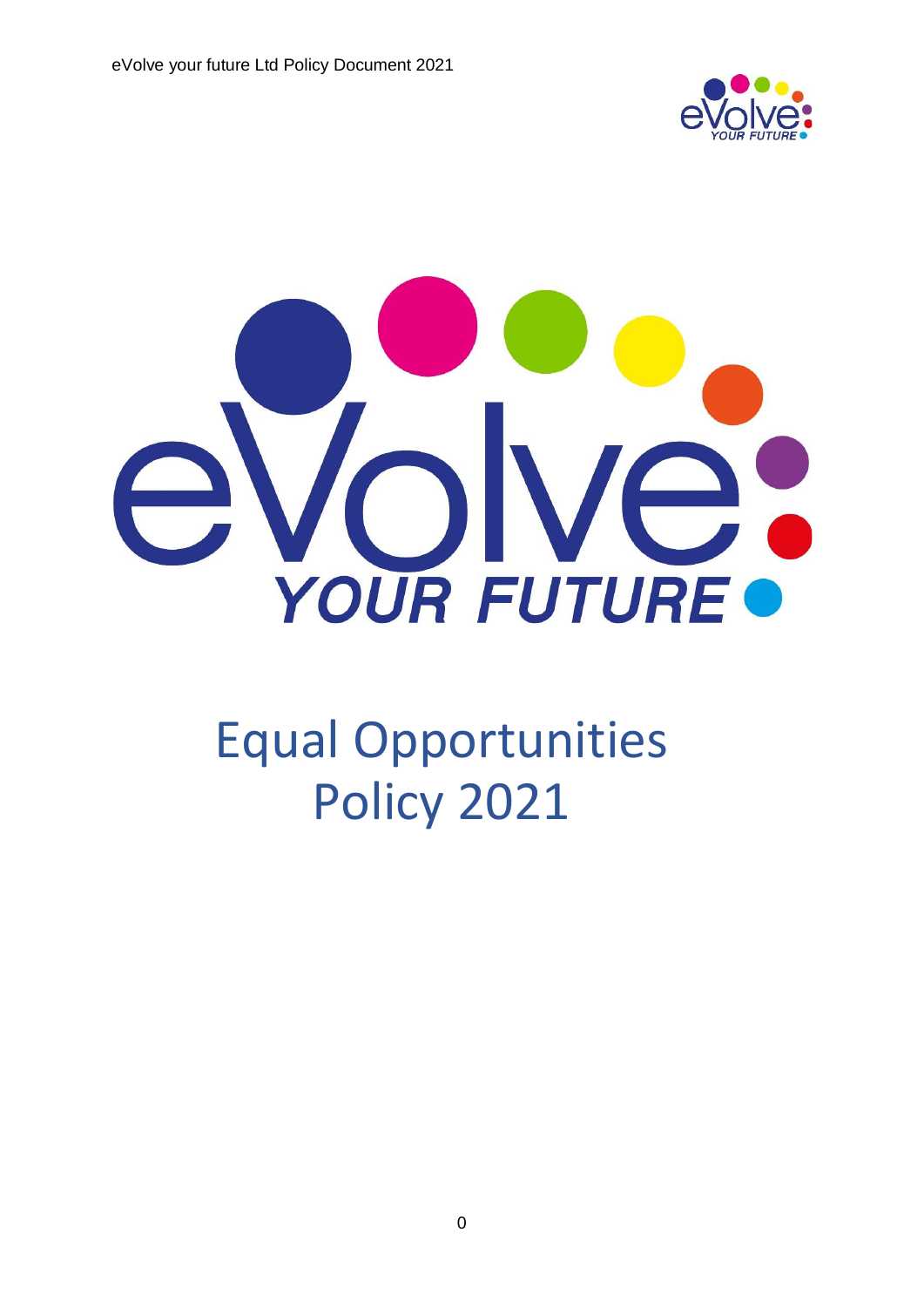



# Equal Opportunities Policy 2021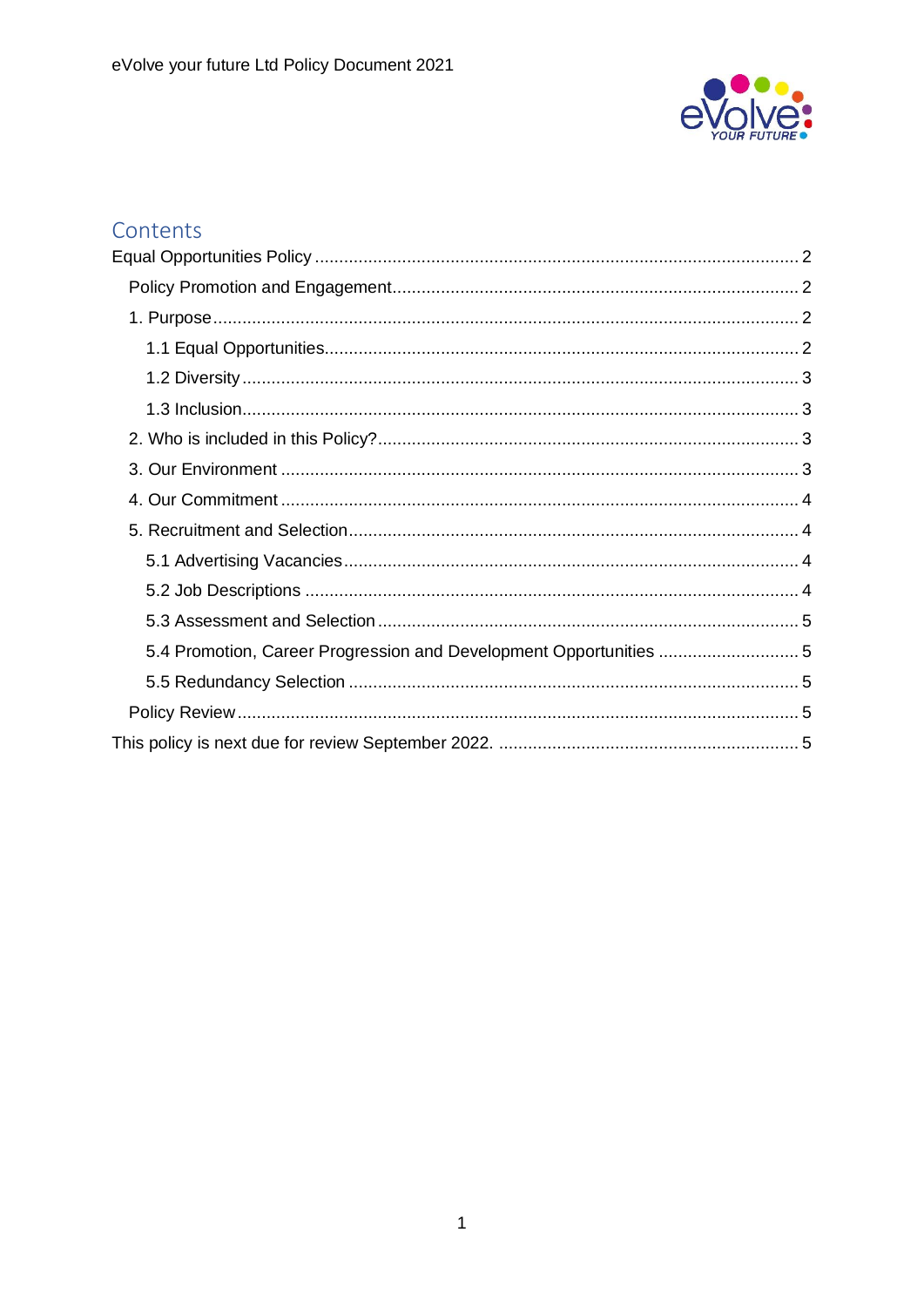

# Contents

| 5.4 Promotion, Career Progression and Development Opportunities 5 |  |
|-------------------------------------------------------------------|--|
|                                                                   |  |
|                                                                   |  |
|                                                                   |  |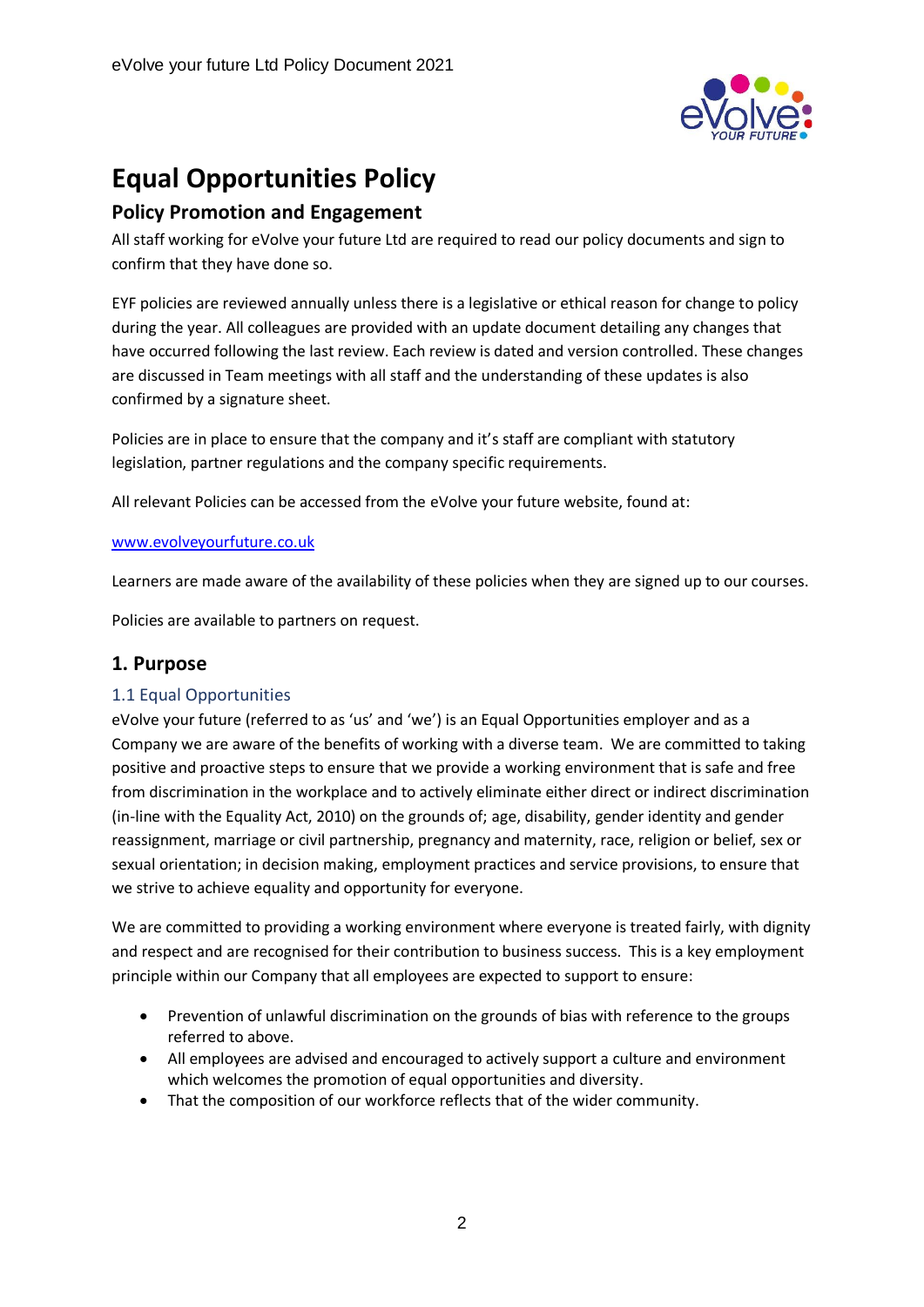

# <span id="page-2-0"></span>**Equal Opportunities Policy**

# <span id="page-2-1"></span>**Policy Promotion and Engagement**

All staff working for eVolve your future Ltd are required to read our policy documents and sign to confirm that they have done so.

EYF policies are reviewed annually unless there is a legislative or ethical reason for change to policy during the year. All colleagues are provided with an update document detailing any changes that have occurred following the last review. Each review is dated and version controlled. These changes are discussed in Team meetings with all staff and the understanding of these updates is also confirmed by a signature sheet.

Policies are in place to ensure that the company and it's staff are compliant with statutory legislation, partner regulations and the company specific requirements.

All relevant Policies can be accessed from the eVolve your future website, found at:

#### [www.evolveyourfuture.co.uk](http://www.evolveyourfuture.co.uk/)

Learners are made aware of the availability of these policies when they are signed up to our courses.

Policies are available to partners on request.

# <span id="page-2-2"></span>**1. Purpose**

#### <span id="page-2-3"></span>1.1 Equal Opportunities

eVolve your future (referred to as 'us' and 'we') is an Equal Opportunities employer and as a Company we are aware of the benefits of working with a diverse team. We are committed to taking positive and proactive steps to ensure that we provide a working environment that is safe and free from discrimination in the workplace and to actively eliminate either direct or indirect discrimination (in-line with the Equality Act, 2010) on the grounds of; age, disability, gender identity and gender reassignment, marriage or civil partnership, pregnancy and maternity, race, religion or belief, sex or sexual orientation; in decision making, employment practices and service provisions, to ensure that we strive to achieve equality and opportunity for everyone.

We are committed to providing a working environment where everyone is treated fairly, with dignity and respect and are recognised for their contribution to business success. This is a key employment principle within our Company that all employees are expected to support to ensure:

- Prevention of unlawful discrimination on the grounds of bias with reference to the groups referred to above.
- All employees are advised and encouraged to actively support a culture and environment which welcomes the promotion of equal opportunities and diversity.
- That the composition of our workforce reflects that of the wider community.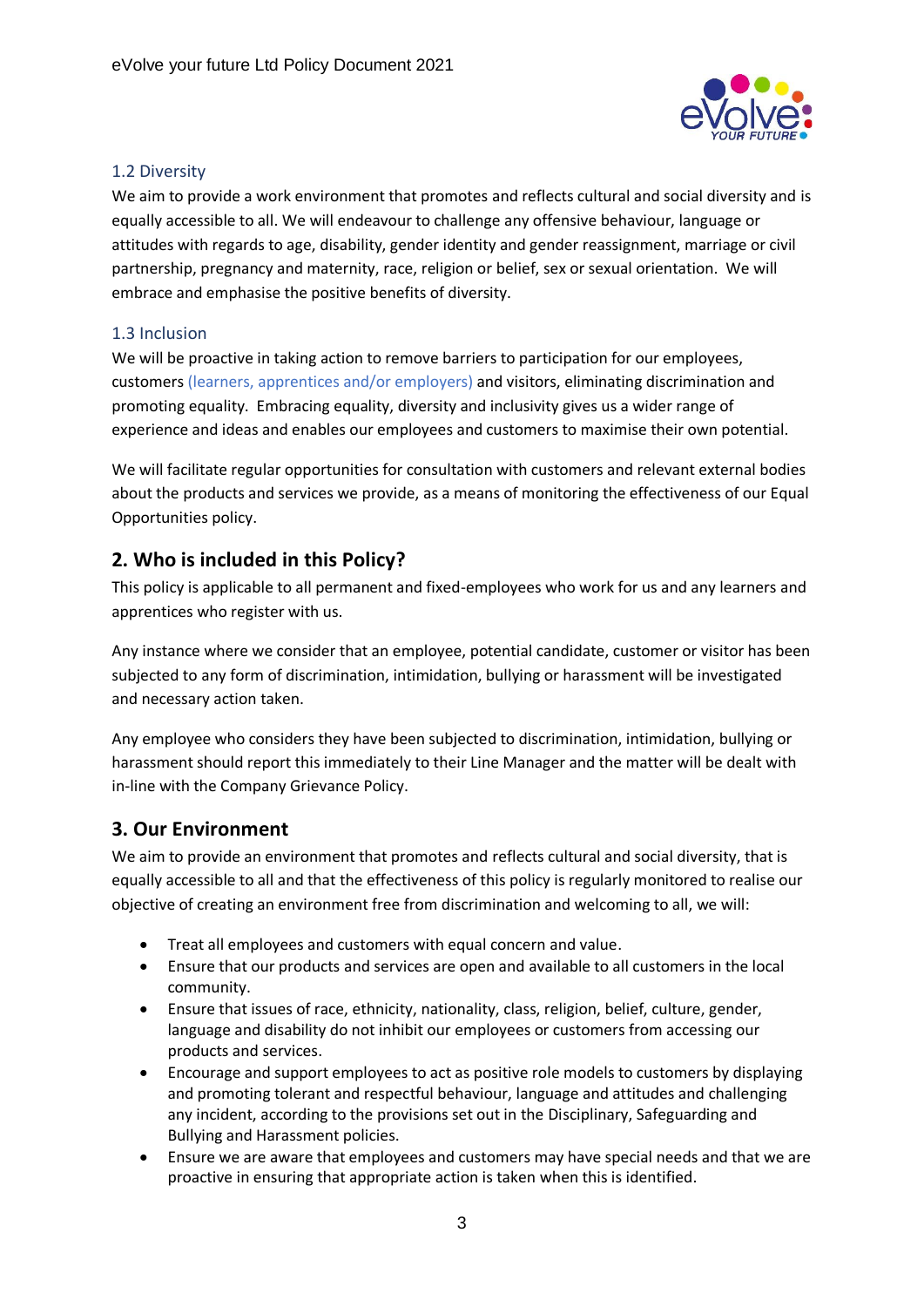

## <span id="page-3-0"></span>1.2 Diversity

We aim to provide a work environment that promotes and reflects cultural and social diversity and is equally accessible to all. We will endeavour to challenge any offensive behaviour, language or attitudes with regards to age, disability, gender identity and gender reassignment, marriage or civil partnership, pregnancy and maternity, race, religion or belief, sex or sexual orientation. We will embrace and emphasise the positive benefits of diversity.

## <span id="page-3-1"></span>1.3 Inclusion

We will be proactive in taking action to remove barriers to participation for our employees, customers (learners, apprentices and/or employers) and visitors, eliminating discrimination and promoting equality. Embracing equality, diversity and inclusivity gives us a wider range of experience and ideas and enables our employees and customers to maximise their own potential.

We will facilitate regular opportunities for consultation with customers and relevant external bodies about the products and services we provide, as a means of monitoring the effectiveness of our Equal Opportunities policy.

# <span id="page-3-2"></span>**2. Who is included in this Policy?**

This policy is applicable to all permanent and fixed-employees who work for us and any learners and apprentices who register with us.

Any instance where we consider that an employee, potential candidate, customer or visitor has been subjected to any form of discrimination, intimidation, bullying or harassment will be investigated and necessary action taken.

Any employee who considers they have been subjected to discrimination, intimidation, bullying or harassment should report this immediately to their Line Manager and the matter will be dealt with in-line with the Company Grievance Policy.

# <span id="page-3-3"></span>**3. Our Environment**

We aim to provide an environment that promotes and reflects cultural and social diversity, that is equally accessible to all and that the effectiveness of this policy is regularly monitored to realise our objective of creating an environment free from discrimination and welcoming to all, we will:

- Treat all employees and customers with equal concern and value.
- Ensure that our products and services are open and available to all customers in the local community.
- Ensure that issues of race, ethnicity, nationality, class, religion, belief, culture, gender, language and disability do not inhibit our employees or customers from accessing our products and services.
- Encourage and support employees to act as positive role models to customers by displaying and promoting tolerant and respectful behaviour, language and attitudes and challenging any incident, according to the provisions set out in the Disciplinary, Safeguarding and Bullying and Harassment policies.
- Ensure we are aware that employees and customers may have special needs and that we are proactive in ensuring that appropriate action is taken when this is identified.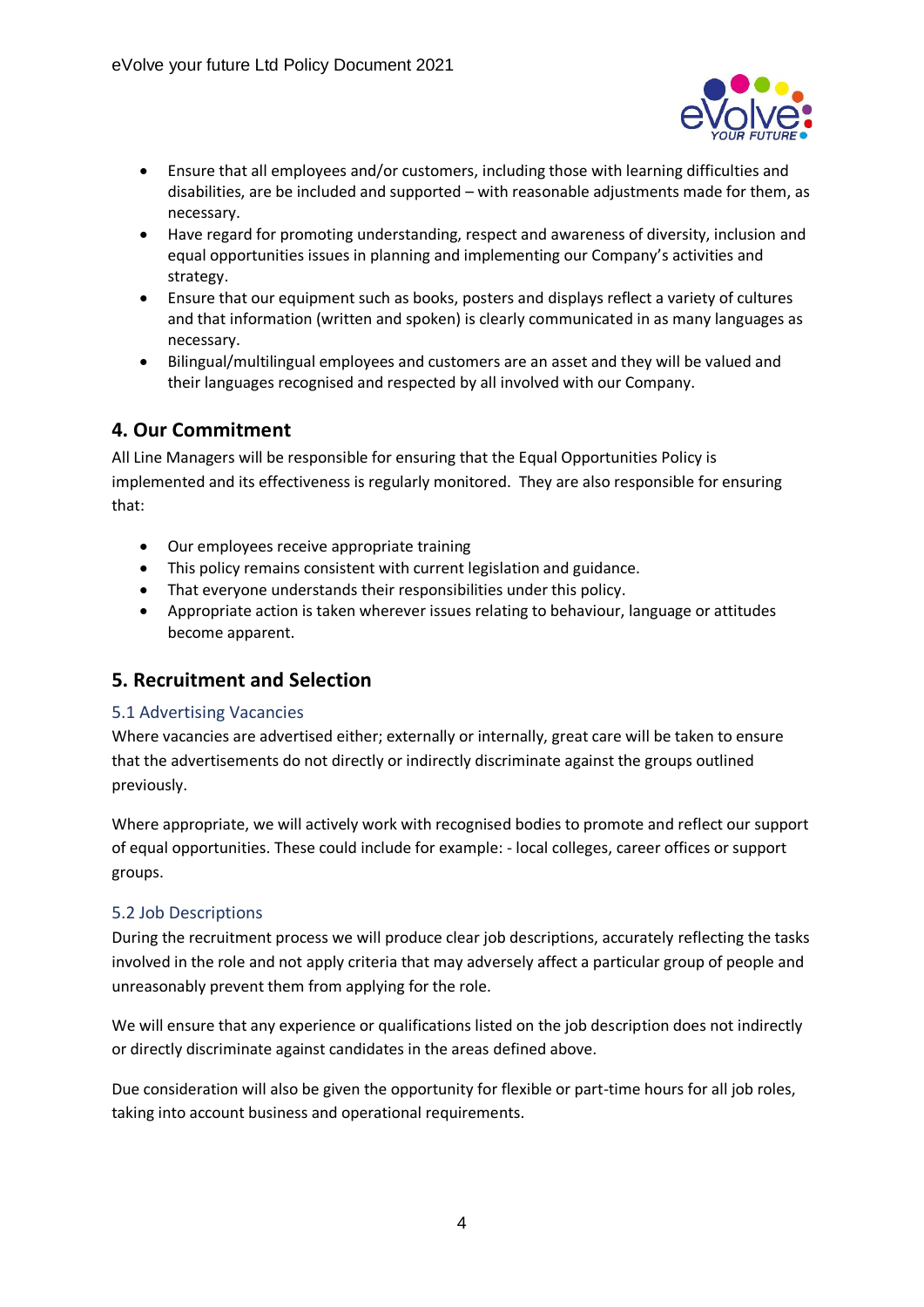

- Ensure that all employees and/or customers, including those with learning difficulties and disabilities, are be included and supported – with reasonable adjustments made for them, as necessary.
- Have regard for promoting understanding, respect and awareness of diversity, inclusion and equal opportunities issues in planning and implementing our Company's activities and strategy.
- Ensure that our equipment such as books, posters and displays reflect a variety of cultures and that information (written and spoken) is clearly communicated in as many languages as necessary.
- Bilingual/multilingual employees and customers are an asset and they will be valued and their languages recognised and respected by all involved with our Company.

# <span id="page-4-0"></span>**4. Our Commitment**

All Line Managers will be responsible for ensuring that the Equal Opportunities Policy is implemented and its effectiveness is regularly monitored. They are also responsible for ensuring that:

- Our employees receive appropriate training
- This policy remains consistent with current legislation and guidance.
- That everyone understands their responsibilities under this policy.
- Appropriate action is taken wherever issues relating to behaviour, language or attitudes become apparent.

# <span id="page-4-1"></span>**5. Recruitment and Selection**

#### <span id="page-4-2"></span>5.1 Advertising Vacancies

Where vacancies are advertised either; externally or internally, great care will be taken to ensure that the advertisements do not directly or indirectly discriminate against the groups outlined previously.

Where appropriate, we will actively work with recognised bodies to promote and reflect our support of equal opportunities. These could include for example: - local colleges, career offices or support groups.

# <span id="page-4-3"></span>5.2 Job Descriptions

During the recruitment process we will produce clear job descriptions, accurately reflecting the tasks involved in the role and not apply criteria that may adversely affect a particular group of people and unreasonably prevent them from applying for the role.

We will ensure that any experience or qualifications listed on the job description does not indirectly or directly discriminate against candidates in the areas defined above.

Due consideration will also be given the opportunity for flexible or part-time hours for all job roles, taking into account business and operational requirements.